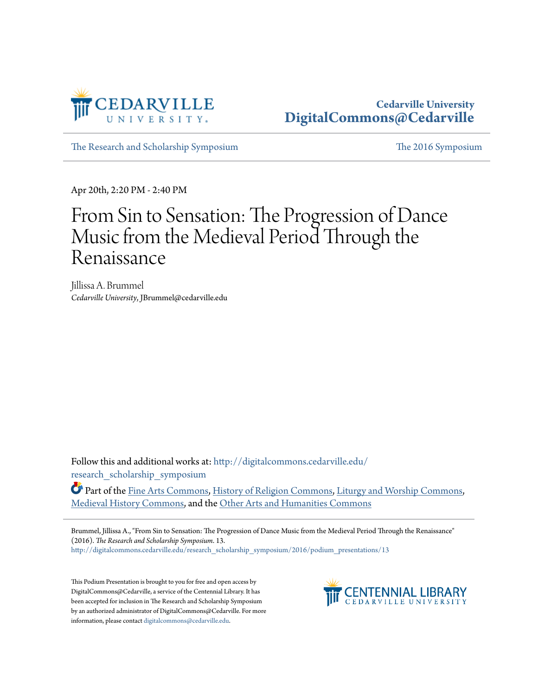

## **Cedarville University [DigitalCommons@Cedarville](http://digitalcommons.cedarville.edu?utm_source=digitalcommons.cedarville.edu%2Fresearch_scholarship_symposium%2F2016%2Fpodium_presentations%2F13&utm_medium=PDF&utm_campaign=PDFCoverPages)**

[The Research and Scholarship Symposium](http://digitalcommons.cedarville.edu/research_scholarship_symposium?utm_source=digitalcommons.cedarville.edu%2Fresearch_scholarship_symposium%2F2016%2Fpodium_presentations%2F13&utm_medium=PDF&utm_campaign=PDFCoverPages) [The 2016 Symposium](http://digitalcommons.cedarville.edu/research_scholarship_symposium/2016?utm_source=digitalcommons.cedarville.edu%2Fresearch_scholarship_symposium%2F2016%2Fpodium_presentations%2F13&utm_medium=PDF&utm_campaign=PDFCoverPages)

Apr 20th, 2:20 PM - 2:40 PM

## From Sin to Sensation: The Progression of Dance Music from the Medieval Period Through the Renaissance

Jillissa A. Brummel *Cedarville University*, JBrummel@cedarville.edu

Follow this and additional works at: [http://digitalcommons.cedarville.edu/](http://digitalcommons.cedarville.edu/research_scholarship_symposium?utm_source=digitalcommons.cedarville.edu%2Fresearch_scholarship_symposium%2F2016%2Fpodium_presentations%2F13&utm_medium=PDF&utm_campaign=PDFCoverPages) [research\\_scholarship\\_symposium](http://digitalcommons.cedarville.edu/research_scholarship_symposium?utm_source=digitalcommons.cedarville.edu%2Fresearch_scholarship_symposium%2F2016%2Fpodium_presentations%2F13&utm_medium=PDF&utm_campaign=PDFCoverPages)

Part of the [Fine Arts Commons](http://network.bepress.com/hgg/discipline/1141?utm_source=digitalcommons.cedarville.edu%2Fresearch_scholarship_symposium%2F2016%2Fpodium_presentations%2F13&utm_medium=PDF&utm_campaign=PDFCoverPages), [History of Religion Commons,](http://network.bepress.com/hgg/discipline/499?utm_source=digitalcommons.cedarville.edu%2Fresearch_scholarship_symposium%2F2016%2Fpodium_presentations%2F13&utm_medium=PDF&utm_campaign=PDFCoverPages) [Liturgy and Worship Commons,](http://network.bepress.com/hgg/discipline/1188?utm_source=digitalcommons.cedarville.edu%2Fresearch_scholarship_symposium%2F2016%2Fpodium_presentations%2F13&utm_medium=PDF&utm_campaign=PDFCoverPages) [Medieval History Commons](http://network.bepress.com/hgg/discipline/503?utm_source=digitalcommons.cedarville.edu%2Fresearch_scholarship_symposium%2F2016%2Fpodium_presentations%2F13&utm_medium=PDF&utm_campaign=PDFCoverPages), and the [Other Arts and Humanities Commons](http://network.bepress.com/hgg/discipline/577?utm_source=digitalcommons.cedarville.edu%2Fresearch_scholarship_symposium%2F2016%2Fpodium_presentations%2F13&utm_medium=PDF&utm_campaign=PDFCoverPages)

Brummel, Jillissa A., "From Sin to Sensation: The Progression of Dance Music from the Medieval Period Through the Renaissance" (2016). *The Research and Scholarship Symposium*. 13. [http://digitalcommons.cedarville.edu/research\\_scholarship\\_symposium/2016/podium\\_presentations/13](http://digitalcommons.cedarville.edu/research_scholarship_symposium/2016/podium_presentations/13?utm_source=digitalcommons.cedarville.edu%2Fresearch_scholarship_symposium%2F2016%2Fpodium_presentations%2F13&utm_medium=PDF&utm_campaign=PDFCoverPages)

This Podium Presentation is brought to you for free and open access by DigitalCommons@Cedarville, a service of the Centennial Library. It has been accepted for inclusion in The Research and Scholarship Symposium by an authorized administrator of DigitalCommons@Cedarville. For more information, please contact [digitalcommons@cedarville.edu.](mailto:digitalcommons@cedarville.edu)

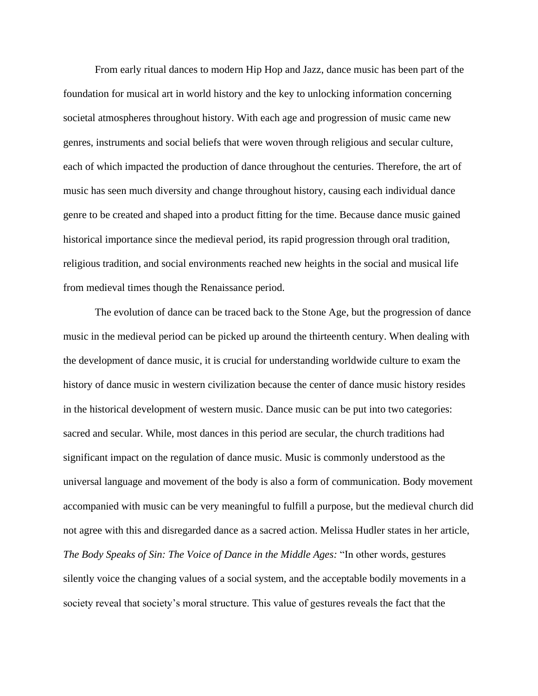From early ritual dances to modern Hip Hop and Jazz, dance music has been part of the foundation for musical art in world history and the key to unlocking information concerning societal atmospheres throughout history. With each age and progression of music came new genres, instruments and social beliefs that were woven through religious and secular culture, each of which impacted the production of dance throughout the centuries. Therefore, the art of music has seen much diversity and change throughout history, causing each individual dance genre to be created and shaped into a product fitting for the time. Because dance music gained historical importance since the medieval period, its rapid progression through oral tradition, religious tradition, and social environments reached new heights in the social and musical life from medieval times though the Renaissance period.

The evolution of dance can be traced back to the Stone Age, but the progression of dance music in the medieval period can be picked up around the thirteenth century. When dealing with the development of dance music, it is crucial for understanding worldwide culture to exam the history of dance music in western civilization because the center of dance music history resides in the historical development of western music. Dance music can be put into two categories: sacred and secular. While, most dances in this period are secular, the church traditions had significant impact on the regulation of dance music. Music is commonly understood as the universal language and movement of the body is also a form of communication. Body movement accompanied with music can be very meaningful to fulfill a purpose, but the medieval church did not agree with this and disregarded dance as a sacred action. Melissa Hudler states in her article, *The Body Speaks of Sin: The Voice of Dance in the Middle Ages:* "In other words, gestures silently voice the changing values of a social system, and the acceptable bodily movements in a society reveal that society's moral structure. This value of gestures reveals the fact that the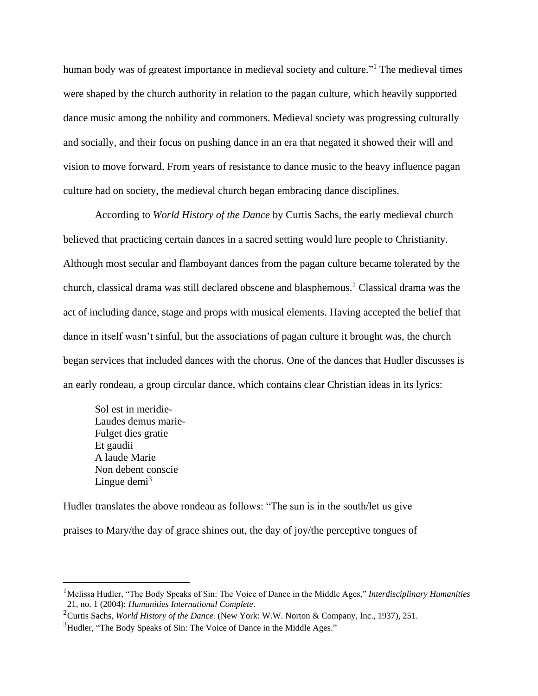human body was of greatest importance in medieval society and culture."<sup>1</sup> The medieval times were shaped by the church authority in relation to the pagan culture, which heavily supported dance music among the nobility and commoners. Medieval society was progressing culturally and socially, and their focus on pushing dance in an era that negated it showed their will and vision to move forward. From years of resistance to dance music to the heavy influence pagan culture had on society, the medieval church began embracing dance disciplines.

According to *World History of the Dance* by Curtis Sachs, the early medieval church believed that practicing certain dances in a sacred setting would lure people to Christianity. Although most secular and flamboyant dances from the pagan culture became tolerated by the church, classical drama was still declared obscene and blasphemous.<sup>2</sup> Classical drama was the act of including dance, stage and props with musical elements. Having accepted the belief that dance in itself wasn't sinful, but the associations of pagan culture it brought was, the church began services that included dances with the chorus. One of the dances that Hudler discusses is an early rondeau, a group circular dance, which contains clear Christian ideas in its lyrics:

Sol est in meridie-Laudes demus marie-Fulget dies gratie Et gaudii A laude Marie Non debent conscie Lingue demi $3$ 

 $\overline{\phantom{a}}$ 

Hudler translates the above rondeau as follows: "The sun is in the south/let us give praises to Mary/the day of grace shines out, the day of joy/the perceptive tongues of

<sup>&</sup>lt;sup>1</sup>Melissa Hudler, "The Body Speaks of Sin: The Voice of Dance in the Middle Ages," *Interdisciplinary Humanities* 21, no. 1 (2004): *Humanities International Complete*.

<sup>2</sup>Curtis Sachs, *World History of the Dance.* (New York: W.W. Norton & Company, Inc., 1937), 251.

<sup>&</sup>lt;sup>3</sup>Hudler, "The Body Speaks of Sin: The Voice of Dance in the Middle Ages."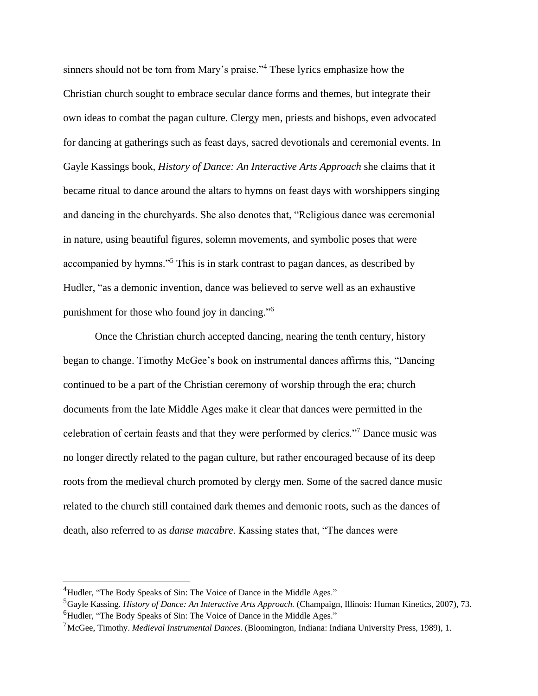sinners should not be torn from Mary's praise."<sup>4</sup> These lyrics emphasize how the Christian church sought to embrace secular dance forms and themes, but integrate their own ideas to combat the pagan culture. Clergy men, priests and bishops, even advocated for dancing at gatherings such as feast days, sacred devotionals and ceremonial events. In Gayle Kassings book, *History of Dance: An Interactive Arts Approach* she claims that it became ritual to dance around the altars to hymns on feast days with worshippers singing and dancing in the churchyards. She also denotes that, "Religious dance was ceremonial in nature, using beautiful figures, solemn movements, and symbolic poses that were accompanied by hymns."<sup>5</sup> This is in stark contrast to pagan dances, as described by Hudler, "as a demonic invention, dance was believed to serve well as an exhaustive punishment for those who found joy in dancing."<sup>6</sup>

Once the Christian church accepted dancing, nearing the tenth century, history began to change. Timothy McGee's book on instrumental dances affirms this, "Dancing continued to be a part of the Christian ceremony of worship through the era; church documents from the late Middle Ages make it clear that dances were permitted in the celebration of certain feasts and that they were performed by clerics."<sup>7</sup> Dance music was no longer directly related to the pagan culture, but rather encouraged because of its deep roots from the medieval church promoted by clergy men. Some of the sacred dance music related to the church still contained dark themes and demonic roots, such as the dances of death, also referred to as *danse macabre*. Kassing states that, "The dances were

<sup>&</sup>lt;sup>4</sup>Hudler, "The Body Speaks of Sin: The Voice of Dance in the Middle Ages."

<sup>5</sup>Gayle Kassing. *History of Dance: An Interactive Arts Approach.* (Champaign, Illinois: Human Kinetics, 2007), 73. <sup>6</sup>Hudler, "The Body Speaks of Sin: The Voice of Dance in the Middle Ages."

<sup>7</sup>McGee, Timothy. *Medieval Instrumental Dances*. (Bloomington, Indiana: Indiana University Press, 1989), 1.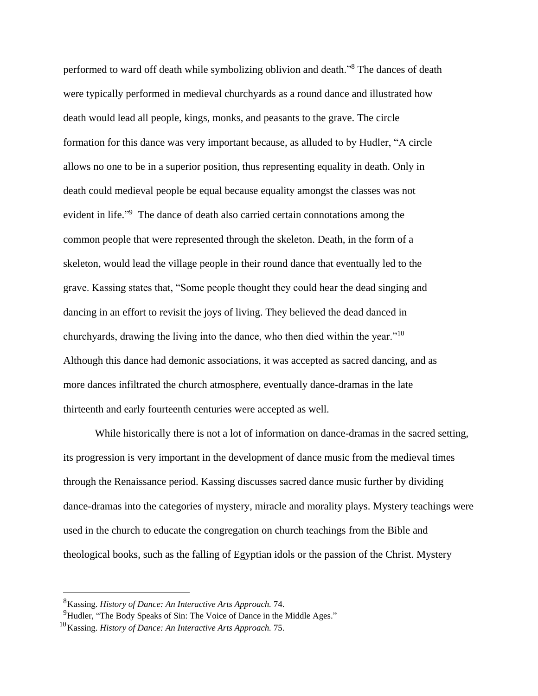performed to ward off death while symbolizing oblivion and death."<sup>8</sup> The dances of death were typically performed in medieval churchyards as a round dance and illustrated how death would lead all people, kings, monks, and peasants to the grave. The circle formation for this dance was very important because, as alluded to by Hudler, "A circle allows no one to be in a superior position, thus representing equality in death. Only in death could medieval people be equal because equality amongst the classes was not evident in life." <sup>9</sup> The dance of death also carried certain connotations among the common people that were represented through the skeleton. Death, in the form of a skeleton, would lead the village people in their round dance that eventually led to the grave. Kassing states that, "Some people thought they could hear the dead singing and dancing in an effort to revisit the joys of living. They believed the dead danced in churchyards, drawing the living into the dance, who then died within the year."<sup>10</sup> Although this dance had demonic associations, it was accepted as sacred dancing, and as more dances infiltrated the church atmosphere, eventually dance-dramas in the late thirteenth and early fourteenth centuries were accepted as well.

While historically there is not a lot of information on dance-dramas in the sacred setting, its progression is very important in the development of dance music from the medieval times through the Renaissance period. Kassing discusses sacred dance music further by dividing dance-dramas into the categories of mystery, miracle and morality plays. Mystery teachings were used in the church to educate the congregation on church teachings from the Bible and theological books, such as the falling of Egyptian idols or the passion of the Christ. Mystery

<sup>8</sup>Kassing. *History of Dance: An Interactive Arts Approach.* 74.

<sup>&</sup>lt;sup>9</sup>Hudler, "The Body Speaks of Sin: The Voice of Dance in the Middle Ages."

<sup>10</sup>Kassing. *History of Dance: An Interactive Arts Approach.* 75.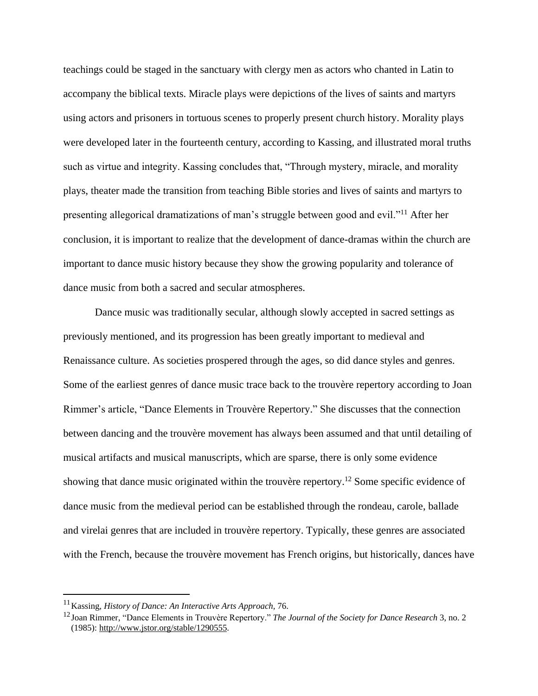teachings could be staged in the sanctuary with clergy men as actors who chanted in Latin to accompany the biblical texts. Miracle plays were depictions of the lives of saints and martyrs using actors and prisoners in tortuous scenes to properly present church history. Morality plays were developed later in the fourteenth century, according to Kassing, and illustrated moral truths such as virtue and integrity. Kassing concludes that, "Through mystery, miracle, and morality plays, theater made the transition from teaching Bible stories and lives of saints and martyrs to presenting allegorical dramatizations of man's struggle between good and evil."<sup>11</sup> After her conclusion, it is important to realize that the development of dance-dramas within the church are important to dance music history because they show the growing popularity and tolerance of dance music from both a sacred and secular atmospheres.

Dance music was traditionally secular, although slowly accepted in sacred settings as previously mentioned, and its progression has been greatly important to medieval and Renaissance culture. As societies prospered through the ages, so did dance styles and genres. Some of the earliest genres of dance music trace back to the trouvère repertory according to Joan Rimmer's article, "Dance Elements in Trouvère Repertory." She discusses that the connection between dancing and the trouvère movement has always been assumed and that until detailing of musical artifacts and musical manuscripts, which are sparse, there is only some evidence showing that dance music originated within the trouvère repertory.<sup>12</sup> Some specific evidence of dance music from the medieval period can be established through the rondeau, carole, ballade and virelai genres that are included in trouvère repertory. Typically, these genres are associated with the French, because the trouvère movement has French origins, but historically, dances have

<sup>11</sup>Kassing, *History of Dance: An Interactive Arts Approach,* 76.

<sup>&</sup>lt;sup>12</sup>Joan Rimmer, "Dance Elements in Trouvère Repertory." *The Journal of the Society for Dance Research* 3, no. 2 (1985): [http://www.jstor.org/stable/1290555.](http://www.jstor.org/stable/1290555)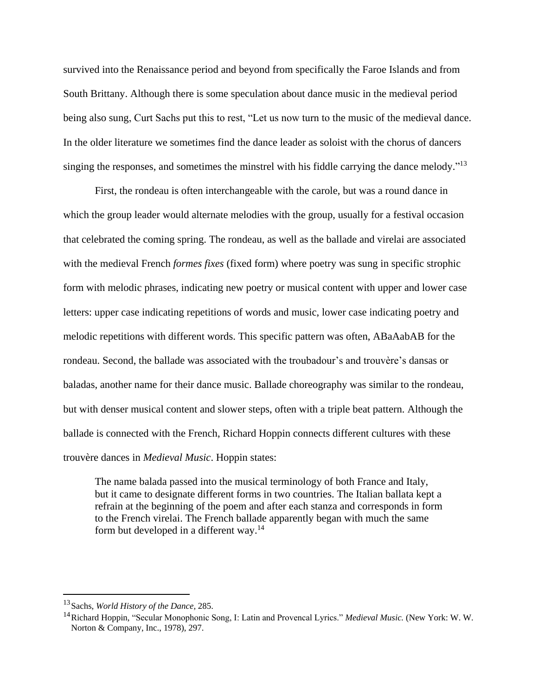survived into the Renaissance period and beyond from specifically the Faroe Islands and from South Brittany. Although there is some speculation about dance music in the medieval period being also sung, Curt Sachs put this to rest, "Let us now turn to the music of the medieval dance. In the older literature we sometimes find the dance leader as soloist with the chorus of dancers singing the responses, and sometimes the minstrel with his fiddle carrying the dance melody."<sup>13</sup>

First, the rondeau is often interchangeable with the carole, but was a round dance in which the group leader would alternate melodies with the group, usually for a festival occasion that celebrated the coming spring. The rondeau, as well as the ballade and virelai are associated with the medieval French *formes fixes* (fixed form) where poetry was sung in specific strophic form with melodic phrases, indicating new poetry or musical content with upper and lower case letters: upper case indicating repetitions of words and music, lower case indicating poetry and melodic repetitions with different words. This specific pattern was often, ABaAabAB for the rondeau. Second, the ballade was associated with the troubadour's and trouvère's dansas or baladas, another name for their dance music. Ballade choreography was similar to the rondeau, but with denser musical content and slower steps, often with a triple beat pattern. Although the ballade is connected with the French, Richard Hoppin connects different cultures with these trouvère dances in *Medieval Music*. Hoppin states:

The name balada passed into the musical terminology of both France and Italy, but it came to designate different forms in two countries. The Italian ballata kept a refrain at the beginning of the poem and after each stanza and corresponds in form to the French virelai. The French ballade apparently began with much the same form but developed in a different way.<sup>14</sup>

<sup>13</sup>Sachs, *World History of the Dance,* 285.

<sup>14</sup>Richard Hoppin, "Secular Monophonic Song, I: Latin and Provencal Lyrics." *Medieval Music.* (New York: W. W. Norton & Company, Inc., 1978), 297.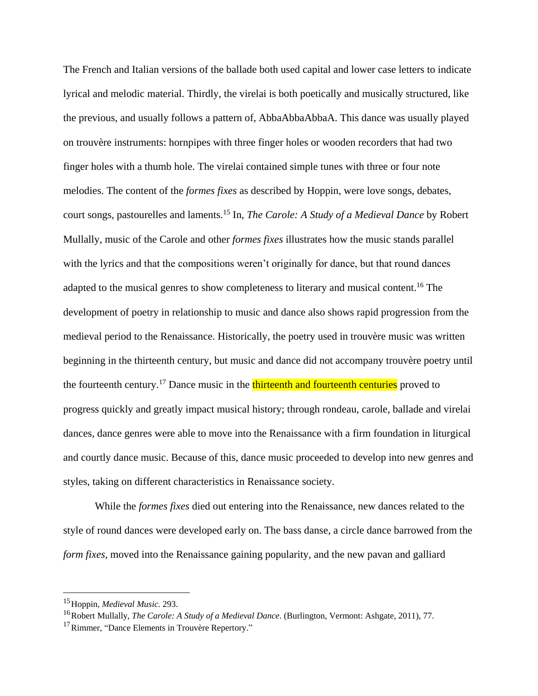The French and Italian versions of the ballade both used capital and lower case letters to indicate lyrical and melodic material. Thirdly, the virelai is both poetically and musically structured, like the previous, and usually follows a pattern of, AbbaAbbaAbbaA. This dance was usually played on trouvère instruments: hornpipes with three finger holes or wooden recorders that had two finger holes with a thumb hole. The virelai contained simple tunes with three or four note melodies. The content of the *formes fixes* as described by Hoppin, were love songs, debates, court songs, pastourelles and laments.<sup>15</sup> In, *The Carole: A Study of a Medieval Dance* by Robert Mullally, music of the Carole and other *formes fixes* illustrates how the music stands parallel with the lyrics and that the compositions weren't originally for dance, but that round dances adapted to the musical genres to show completeness to literary and musical content.<sup>16</sup> The development of poetry in relationship to music and dance also shows rapid progression from the medieval period to the Renaissance. Historically, the poetry used in trouvère music was written beginning in the thirteenth century, but music and dance did not accompany trouvère poetry until the fourteenth century.<sup>17</sup> Dance music in the thirteenth and fourteenth centuries proved to progress quickly and greatly impact musical history; through rondeau, carole, ballade and virelai dances, dance genres were able to move into the Renaissance with a firm foundation in liturgical and courtly dance music. Because of this, dance music proceeded to develop into new genres and styles, taking on different characteristics in Renaissance society.

While the *formes fixes* died out entering into the Renaissance, new dances related to the style of round dances were developed early on. The bass danse, a circle dance barrowed from the *form fixes,* moved into the Renaissance gaining popularity, and the new pavan and galliard

<sup>15</sup>Hoppin, *Medieval Music.* 293.

<sup>16</sup>Robert Mullally, *The Carole: A Study of a Medieval Dance*. (Burlington, Vermont: Ashgate, 2011), 77.

<sup>&</sup>lt;sup>17</sup>Rimmer, "Dance Elements in Trouvère Repertory."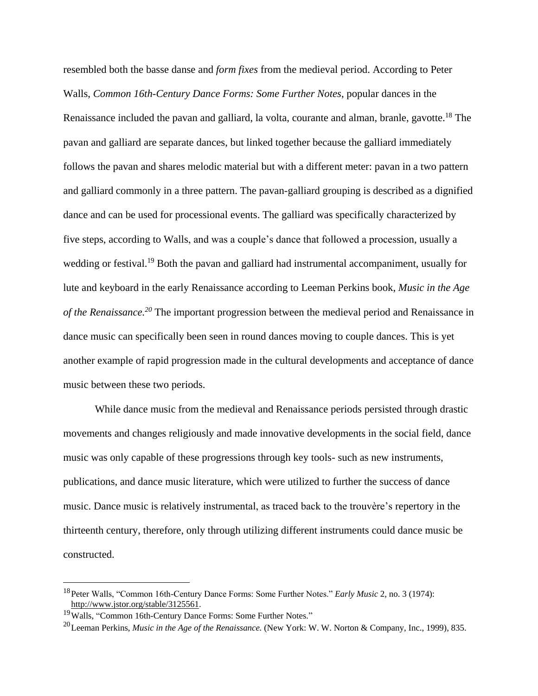resembled both the basse danse and *form fixes* from the medieval period. According to Peter Walls, *Common 16th-Century Dance Forms: Some Further Notes*, popular dances in the Renaissance included the pavan and galliard, la volta, courante and alman, branle, gavotte.<sup>18</sup> The pavan and galliard are separate dances, but linked together because the galliard immediately follows the pavan and shares melodic material but with a different meter: pavan in a two pattern and galliard commonly in a three pattern. The pavan-galliard grouping is described as a dignified dance and can be used for processional events. The galliard was specifically characterized by five steps, according to Walls, and was a couple's dance that followed a procession, usually a wedding or festival.<sup>19</sup> Both the pavan and galliard had instrumental accompaniment, usually for lute and keyboard in the early Renaissance according to Leeman Perkins book, *Music in the Age of the Renaissance.<sup>20</sup>* The important progression between the medieval period and Renaissance in dance music can specifically been seen in round dances moving to couple dances. This is yet another example of rapid progression made in the cultural developments and acceptance of dance music between these two periods.

While dance music from the medieval and Renaissance periods persisted through drastic movements and changes religiously and made innovative developments in the social field, dance music was only capable of these progressions through key tools- such as new instruments, publications, and dance music literature, which were utilized to further the success of dance music. Dance music is relatively instrumental, as traced back to the trouvère's repertory in the thirteenth century, therefore, only through utilizing different instruments could dance music be constructed.

<sup>18</sup>Peter Walls, "Common 16th-Century Dance Forms: Some Further Notes." *Early Music* 2, no. 3 (1974): [http://www.jstor.org/stable/3125561.](http://www.jstor.org/stable/3125561)

<sup>19</sup>Walls, "Common 16th-Century Dance Forms: Some Further Notes."

<sup>20</sup>Leeman Perkins, *Music in the Age of the Renaissance.* (New York: W. W. Norton & Company, Inc., 1999), 835.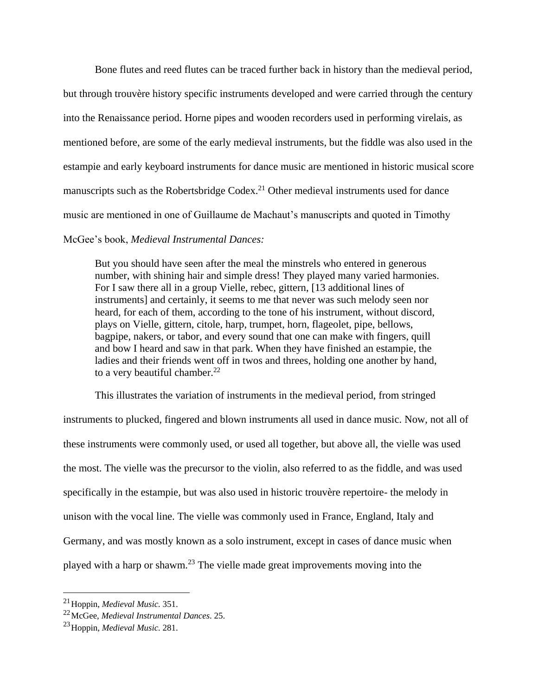Bone flutes and reed flutes can be traced further back in history than the medieval period, but through trouvère history specific instruments developed and were carried through the century into the Renaissance period. Horne pipes and wooden recorders used in performing virelais, as mentioned before, are some of the early medieval instruments, but the fiddle was also used in the estampie and early keyboard instruments for dance music are mentioned in historic musical score manuscripts such as the Robertsbridge Codex.<sup>21</sup> Other medieval instruments used for dance music are mentioned in one of Guillaume de Machaut's manuscripts and quoted in Timothy

## McGee's book, *Medieval Instrumental Dances:*

But you should have seen after the meal the minstrels who entered in generous number, with shining hair and simple dress! They played many varied harmonies. For I saw there all in a group Vielle, rebec, gittern, [13 additional lines of instruments] and certainly, it seems to me that never was such melody seen nor heard, for each of them, according to the tone of his instrument, without discord, plays on Vielle, gittern, citole, harp, trumpet, horn, flageolet, pipe, bellows, bagpipe, nakers, or tabor, and every sound that one can make with fingers, quill and bow I heard and saw in that park. When they have finished an estampie, the ladies and their friends went off in twos and threes, holding one another by hand, to a very beautiful chamber.<sup>22</sup>

This illustrates the variation of instruments in the medieval period, from stringed instruments to plucked, fingered and blown instruments all used in dance music. Now, not all of these instruments were commonly used, or used all together, but above all, the vielle was used the most. The vielle was the precursor to the violin, also referred to as the fiddle, and was used specifically in the estampie, but was also used in historic trouvère repertoire- the melody in unison with the vocal line. The vielle was commonly used in France, England, Italy and Germany, and was mostly known as a solo instrument, except in cases of dance music when played with a harp or shawm.<sup>23</sup> The vielle made great improvements moving into the

<sup>21</sup>Hoppin, *Medieval Music.* 351.

<sup>22</sup>McGee, *Medieval Instrumental Dances*. 25.

<sup>23</sup>Hoppin, *Medieval Music.* 281.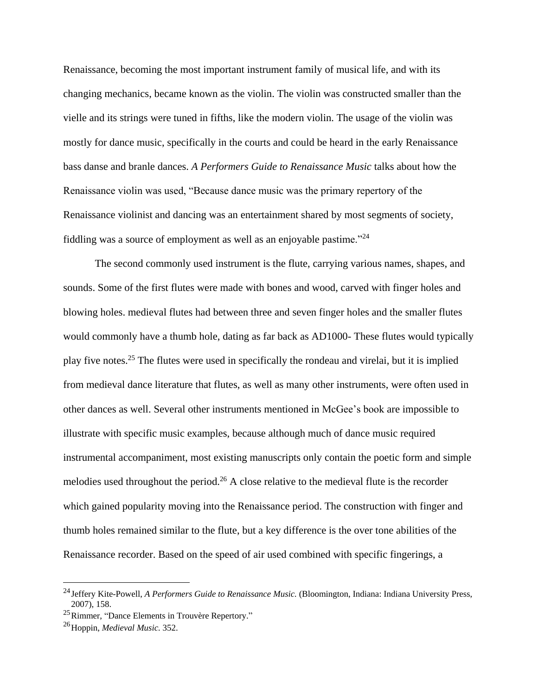Renaissance, becoming the most important instrument family of musical life, and with its changing mechanics, became known as the violin. The violin was constructed smaller than the vielle and its strings were tuned in fifths, like the modern violin. The usage of the violin was mostly for dance music, specifically in the courts and could be heard in the early Renaissance bass danse and branle dances. *A Performers Guide to Renaissance Music* talks about how the Renaissance violin was used, "Because dance music was the primary repertory of the Renaissance violinist and dancing was an entertainment shared by most segments of society, fiddling was a source of employment as well as an enjoyable pastime."<sup>24</sup>

The second commonly used instrument is the flute, carrying various names, shapes, and sounds. Some of the first flutes were made with bones and wood, carved with finger holes and blowing holes. medieval flutes had between three and seven finger holes and the smaller flutes would commonly have a thumb hole, dating as far back as AD1000- These flutes would typically play five notes.<sup>25</sup> The flutes were used in specifically the rondeau and virelai, but it is implied from medieval dance literature that flutes, as well as many other instruments, were often used in other dances as well. Several other instruments mentioned in McGee's book are impossible to illustrate with specific music examples, because although much of dance music required instrumental accompaniment, most existing manuscripts only contain the poetic form and simple melodies used throughout the period.<sup>26</sup> A close relative to the medieval flute is the recorder which gained popularity moving into the Renaissance period. The construction with finger and thumb holes remained similar to the flute, but a key difference is the over tone abilities of the Renaissance recorder. Based on the speed of air used combined with specific fingerings, a

<sup>24</sup>Jeffery Kite-Powell, *A Performers Guide to Renaissance Music.* (Bloomington, Indiana: Indiana University Press, 2007), 158.

<sup>25</sup>Rimmer, "Dance Elements in Trouvère Repertory."

<sup>26</sup>Hoppin, *Medieval Music.* 352.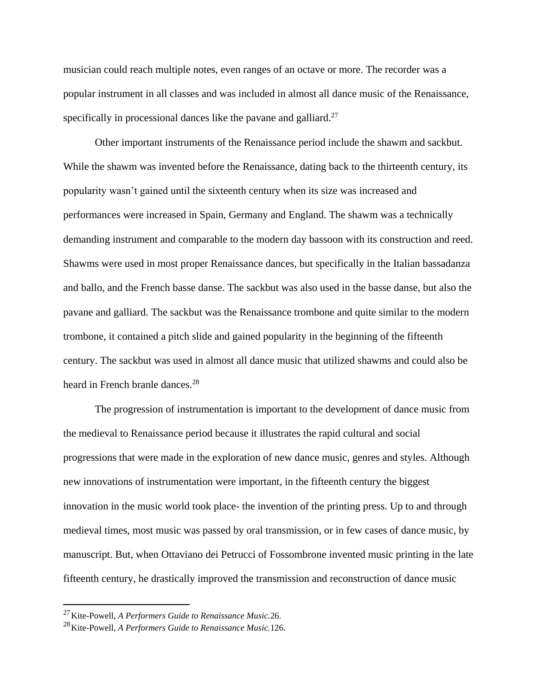musician could reach multiple notes, even ranges of an octave or more. The recorder was a popular instrument in all classes and was included in almost all dance music of the Renaissance, specifically in processional dances like the pavane and galliard.<sup>27</sup>

Other important instruments of the Renaissance period include the shawm and sackbut. While the shawm was invented before the Renaissance, dating back to the thirteenth century, its popularity wasn't gained until the sixteenth century when its size was increased and performances were increased in Spain, Germany and England. The shawm was a technically demanding instrument and comparable to the modern day bassoon with its construction and reed. Shawms were used in most proper Renaissance dances, but specifically in the Italian bassadanza and ballo, and the French basse danse. The sackbut was also used in the basse danse, but also the pavane and galliard. The sackbut was the Renaissance trombone and quite similar to the modern trombone, it contained a pitch slide and gained popularity in the beginning of the fifteenth century. The sackbut was used in almost all dance music that utilized shawms and could also be heard in French branle dances.<sup>28</sup>

The progression of instrumentation is important to the development of dance music from the medieval to Renaissance period because it illustrates the rapid cultural and social progressions that were made in the exploration of new dance music, genres and styles. Although new innovations of instrumentation were important, in the fifteenth century the biggest innovation in the music world took place- the invention of the printing press. Up to and through medieval times, most music was passed by oral transmission, or in few cases of dance music, by manuscript. But, when Ottaviano dei Petrucci of Fossombrone invented music printing in the late fifteenth century, he drastically improved the transmission and reconstruction of dance music

l

<sup>27</sup>Kite-Powell, *A Performers Guide to Renaissance Music.*26.

<sup>28</sup>Kite-Powell, *A Performers Guide to Renaissance Music.*126.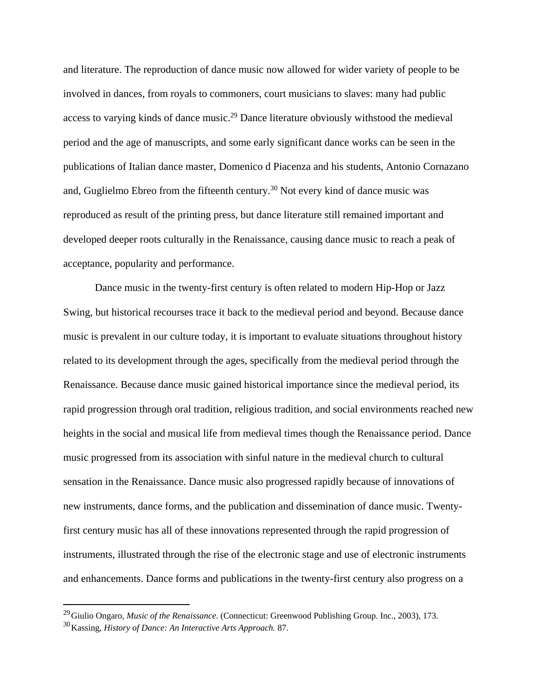and literature. The reproduction of dance music now allowed for wider variety of people to be involved in dances, from royals to commoners, court musicians to slaves: many had public access to varying kinds of dance music.<sup>29</sup> Dance literature obviously withstood the medieval period and the age of manuscripts, and some early significant dance works can be seen in the publications of Italian dance master, Domenico d Piacenza and his students, Antonio Cornazano and, Guglielmo Ebreo from the fifteenth century.<sup>30</sup> Not every kind of dance music was reproduced as result of the printing press, but dance literature still remained important and developed deeper roots culturally in the Renaissance, causing dance music to reach a peak of acceptance, popularity and performance.

Dance music in the twenty-first century is often related to modern Hip-Hop or Jazz Swing, but historical recourses trace it back to the medieval period and beyond. Because dance music is prevalent in our culture today, it is important to evaluate situations throughout history related to its development through the ages, specifically from the medieval period through the Renaissance. Because dance music gained historical importance since the medieval period, its rapid progression through oral tradition, religious tradition, and social environments reached new heights in the social and musical life from medieval times though the Renaissance period. Dance music progressed from its association with sinful nature in the medieval church to cultural sensation in the Renaissance. Dance music also progressed rapidly because of innovations of new instruments, dance forms, and the publication and dissemination of dance music. Twentyfirst century music has all of these innovations represented through the rapid progression of instruments, illustrated through the rise of the electronic stage and use of electronic instruments and enhancements. Dance forms and publications in the twenty-first century also progress on a

l

<sup>29</sup>Giulio Ongaro, *Music of the Renaissance*. (Connecticut: Greenwood Publishing Group. Inc., 2003), 173.

<sup>30</sup>Kassing, *History of Dance: An Interactive Arts Approach.* 87.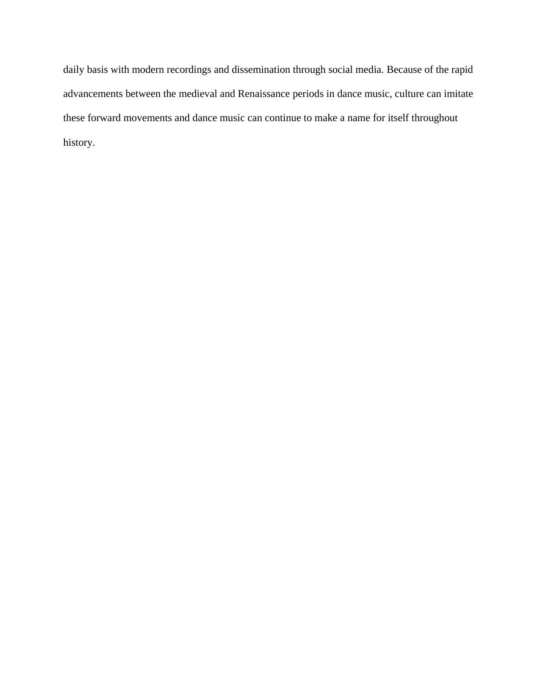daily basis with modern recordings and dissemination through social media. Because of the rapid advancements between the medieval and Renaissance periods in dance music, culture can imitate these forward movements and dance music can continue to make a name for itself throughout history.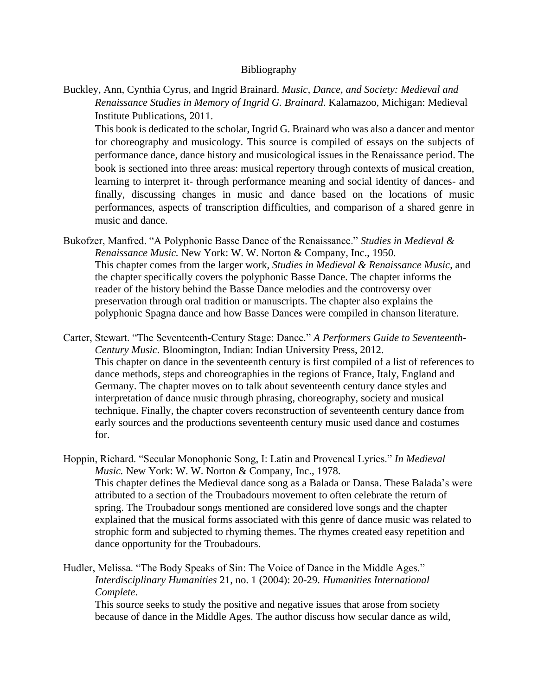## Bibliography

Buckley, Ann, Cynthia Cyrus, and Ingrid Brainard. *Music, Dance, and Society: Medieval and Renaissance Studies in Memory of Ingrid G. Brainard*. Kalamazoo, Michigan: Medieval Institute Publications, 2011.

This book is dedicated to the scholar, Ingrid G. Brainard who was also a dancer and mentor for choreography and musicology. This source is compiled of essays on the subjects of performance dance, dance history and musicological issues in the Renaissance period. The book is sectioned into three areas: musical repertory through contexts of musical creation, learning to interpret it- through performance meaning and social identity of dances- and finally, discussing changes in music and dance based on the locations of music performances, aspects of transcription difficulties, and comparison of a shared genre in music and dance.

- Bukofzer, Manfred. "A Polyphonic Basse Dance of the Renaissance." *Studies in Medieval & Renaissance Music.* New York: W. W. Norton & Company, Inc., 1950. This chapter comes from the larger work, *Studies in Medieval & Renaissance Music*, and the chapter specifically covers the polyphonic Basse Dance. The chapter informs the reader of the history behind the Basse Dance melodies and the controversy over preservation through oral tradition or manuscripts. The chapter also explains the polyphonic Spagna dance and how Basse Dances were compiled in chanson literature.
- Carter, Stewart. "The Seventeenth-Century Stage: Dance." *A Performers Guide to Seventeenth-Century Music.* Bloomington, Indian: Indian University Press, 2012. This chapter on dance in the seventeenth century is first compiled of a list of references to dance methods, steps and choreographies in the regions of France, Italy, England and Germany. The chapter moves on to talk about seventeenth century dance styles and interpretation of dance music through phrasing, choreography, society and musical technique. Finally, the chapter covers reconstruction of seventeenth century dance from early sources and the productions seventeenth century music used dance and costumes for.
- Hoppin, Richard. "Secular Monophonic Song, I: Latin and Provencal Lyrics." *In Medieval Music.* New York: W. W. Norton & Company, Inc., 1978. This chapter defines the Medieval dance song as a Balada or Dansa. These Balada's were attributed to a section of the Troubadours movement to often celebrate the return of spring. The Troubadour songs mentioned are considered love songs and the chapter explained that the musical forms associated with this genre of dance music was related to strophic form and subjected to rhyming themes. The rhymes created easy repetition and dance opportunity for the Troubadours.
- Hudler, Melissa. "The Body Speaks of Sin: The Voice of Dance in the Middle Ages." *Interdisciplinary Humanities* 21, no. 1 (2004): 20-29. *Humanities International Complete*.

This source seeks to study the positive and negative issues that arose from society because of dance in the Middle Ages. The author discuss how secular dance as wild,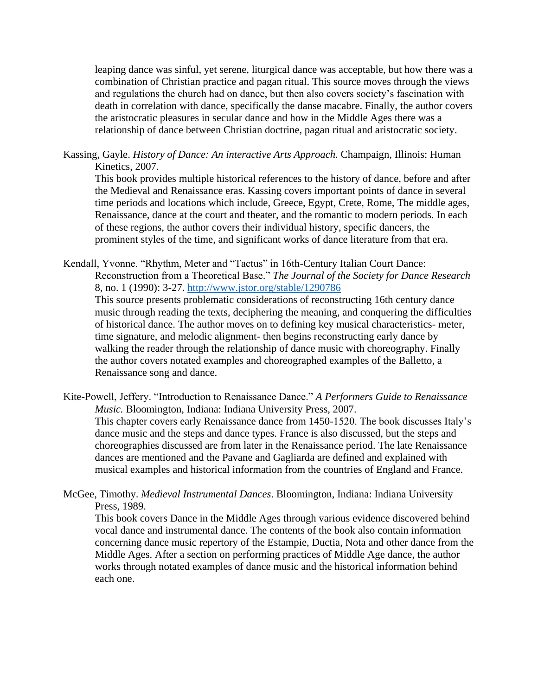leaping dance was sinful, yet serene, liturgical dance was acceptable, but how there was a combination of Christian practice and pagan ritual. This source moves through the views and regulations the church had on dance, but then also covers society's fascination with death in correlation with dance, specifically the danse macabre. Finally, the author covers the aristocratic pleasures in secular dance and how in the Middle Ages there was a relationship of dance between Christian doctrine, pagan ritual and aristocratic society.

Kassing, Gayle. *History of Dance: An interactive Arts Approach.* Champaign, Illinois: Human Kinetics, 2007.

This book provides multiple historical references to the history of dance, before and after the Medieval and Renaissance eras. Kassing covers important points of dance in several time periods and locations which include, Greece, Egypt, Crete, Rome, The middle ages, Renaissance, dance at the court and theater, and the romantic to modern periods. In each of these regions, the author covers their individual history, specific dancers, the prominent styles of the time, and significant works of dance literature from that era.

Kendall, Yvonne. "Rhythm, Meter and "Tactus" in 16th-Century Italian Court Dance: Reconstruction from a Theoretical Base." *The Journal of the Society for Dance Research* 8, no. 1 (1990): 3-27.<http://www.jstor.org/stable/1290786> This source presents problematic considerations of reconstructing 16th century dance music through reading the texts, deciphering the meaning, and conquering the difficulties of historical dance. The author moves on to defining key musical characteristics- meter, time signature, and melodic alignment- then begins reconstructing early dance by walking the reader through the relationship of dance music with choreography. Finally the author covers notated examples and choreographed examples of the Balletto, a Renaissance song and dance.

- Kite-Powell, Jeffery. "Introduction to Renaissance Dance." *A Performers Guide to Renaissance Music.* Bloomington, Indiana: Indiana University Press, 2007. This chapter covers early Renaissance dance from 1450-1520. The book discusses Italy's dance music and the steps and dance types. France is also discussed, but the steps and choreographies discussed are from later in the Renaissance period. The late Renaissance dances are mentioned and the Pavane and Gagliarda are defined and explained with musical examples and historical information from the countries of England and France.
- McGee, Timothy. *Medieval Instrumental Dances*. Bloomington, Indiana: Indiana University Press, 1989.

This book covers Dance in the Middle Ages through various evidence discovered behind vocal dance and instrumental dance. The contents of the book also contain information concerning dance music repertory of the Estampie, Ductia, Nota and other dance from the Middle Ages. After a section on performing practices of Middle Age dance, the author works through notated examples of dance music and the historical information behind each one.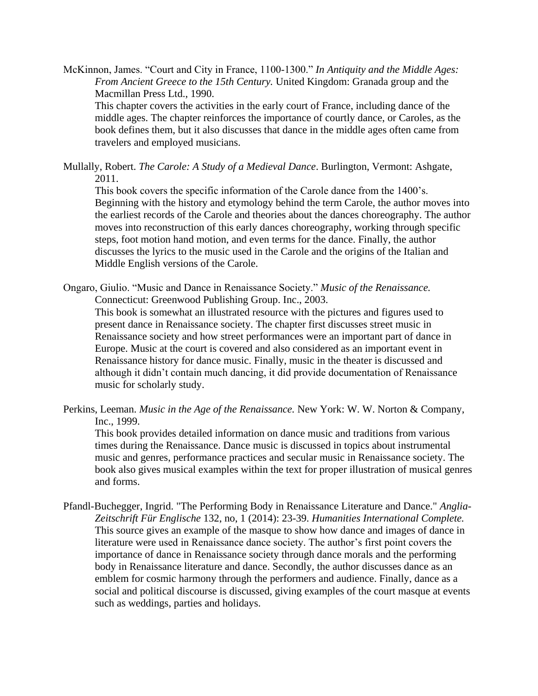McKinnon, James. "Court and City in France, 1100-1300." *In Antiquity and the Middle Ages: From Ancient Greece to the 15th Century.* United Kingdom: Granada group and the Macmillan Press Ltd., 1990.

This chapter covers the activities in the early court of France, including dance of the middle ages. The chapter reinforces the importance of courtly dance, or Caroles, as the book defines them, but it also discusses that dance in the middle ages often came from travelers and employed musicians.

Mullally, Robert. *The Carole: A Study of a Medieval Dance*. Burlington, Vermont: Ashgate, 2011.

This book covers the specific information of the Carole dance from the 1400's. Beginning with the history and etymology behind the term Carole, the author moves into the earliest records of the Carole and theories about the dances choreography. The author moves into reconstruction of this early dances choreography, working through specific steps, foot motion hand motion, and even terms for the dance. Finally, the author discusses the lyrics to the music used in the Carole and the origins of the Italian and Middle English versions of the Carole.

Ongaro, Giulio. "Music and Dance in Renaissance Society." *Music of the Renaissance.* Connecticut: Greenwood Publishing Group. Inc., 2003.

This book is somewhat an illustrated resource with the pictures and figures used to present dance in Renaissance society. The chapter first discusses street music in Renaissance society and how street performances were an important part of dance in Europe. Music at the court is covered and also considered as an important event in Renaissance history for dance music. Finally, music in the theater is discussed and although it didn't contain much dancing, it did provide documentation of Renaissance music for scholarly study.

Perkins, Leeman. *Music in the Age of the Renaissance.* New York: W. W. Norton & Company, Inc., 1999.

This book provides detailed information on dance music and traditions from various times during the Renaissance. Dance music is discussed in topics about instrumental music and genres, performance practices and secular music in Renaissance society. The book also gives musical examples within the text for proper illustration of musical genres and forms.

Pfandl-Buchegger, Ingrid. "The Performing Body in Renaissance Literature and Dance." *Anglia-Zeitschrift Für Englische* 132, no, 1 (2014): 23-39. *Humanities International Complete.* This source gives an example of the masque to show how dance and images of dance in literature were used in Renaissance dance society. The author's first point covers the importance of dance in Renaissance society through dance morals and the performing body in Renaissance literature and dance. Secondly, the author discusses dance as an emblem for cosmic harmony through the performers and audience. Finally, dance as a social and political discourse is discussed, giving examples of the court masque at events such as weddings, parties and holidays.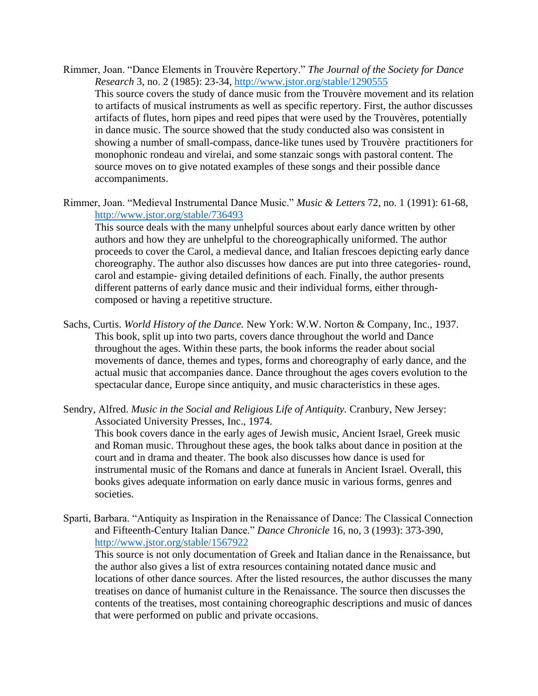- Rimmer, Joan. "Dance Elements in Trouvère Repertory." *The Journal of the Society for Dance Research* 3, no. 2 (1985): 23-34,<http://www.jstor.org/stable/1290555> This source covers the study of dance music from the Trouvère movement and its relation to artifacts of musical instruments as well as specific repertory. First, the author discusses artifacts of flutes, horn pipes and reed pipes that were used by the Trouvères, potentially in dance music. The source showed that the study conducted also was consistent in showing a number of small-compass, dance-like tunes used by Trouvère practitioners for monophonic rondeau and virelai, and some stanzaic songs with pastoral content. The source moves on to give notated examples of these songs and their possible dance accompaniments.
- Rimmer, Joan. "Medieval Instrumental Dance Music." *Music & Letters* 72, no. 1 (1991): 61-68, <http://www.jstor.org/stable/736493> This source deals with the many unhelpful sources about early dance written by other authors and how they are unhelpful to the choreographically uniformed. The author proceeds to cover the Carol, a medieval dance, and Italian frescoes depicting early dance choreography. The author also discusses how dances are put into three categories- round, carol and estampie- giving detailed definitions of each. Finally, the author presents different patterns of early dance music and their individual forms, either throughcomposed or having a repetitive structure.
- Sachs, Curtis. *World History of the Dance.* New York: W.W. Norton & Company, Inc., 1937. This book, split up into two parts, covers dance throughout the world and Dance throughout the ages. Within these parts, the book informs the reader about social movements of dance, themes and types, forms and choreography of early dance, and the actual music that accompanies dance. Dance throughout the ages covers evolution to the spectacular dance, Europe since antiquity, and music characteristics in these ages.
- Sendry, Alfred. *Music in the Social and Religious Life of Antiquity.* Cranbury, New Jersey: Associated University Presses, Inc., 1974.

This book covers dance in the early ages of Jewish music, Ancient Israel, Greek music and Roman music. Throughout these ages, the book talks about dance in position at the court and in drama and theater. The book also discusses how dance is used for instrumental music of the Romans and dance at funerals in Ancient Israel. Overall, this books gives adequate information on early dance music in various forms, genres and societies.

Sparti, Barbara. "Antiquity as Inspiration in the Renaissance of Dance: The Classical Connection and Fifteenth-Century Italian Dance." *Dance Chronicle* 16, no, 3 (1993): 373-390, <http://www.jstor.org/stable/1567922> This source is not only documentation of Greek and Italian dance in the Renaissance, but the author also gives a list of extra resources containing notated dance music and locations of other dance sources. After the listed resources, the author discusses the many treatises on dance of humanist culture in the Renaissance. The source then discusses the contents of the treatises, most containing choreographic descriptions and music of dances

that were performed on public and private occasions.